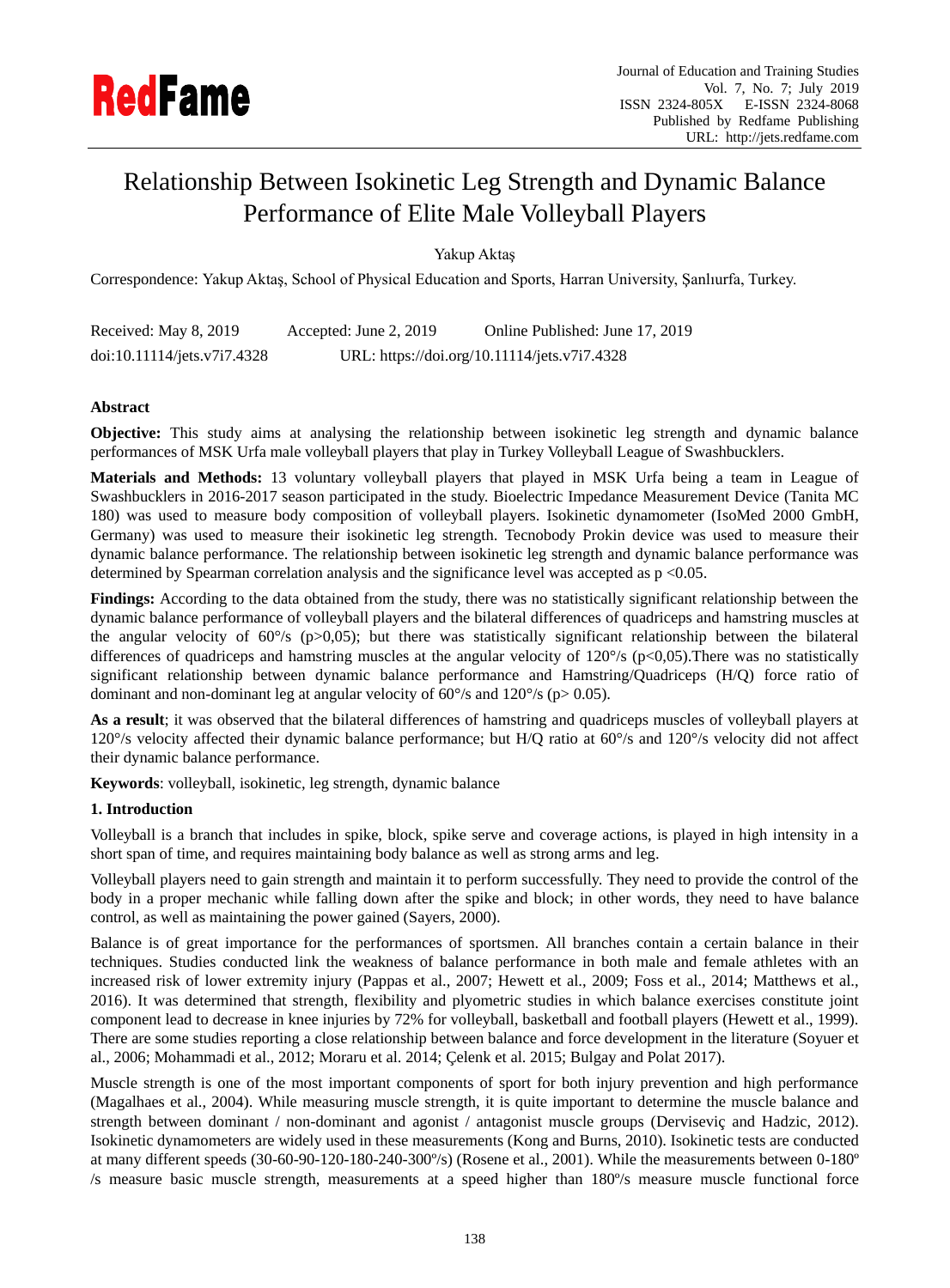

# Relationship Between Isokinetic Leg Strength and Dynamic Balance Performance of Elite Male Volleyball Players

Yakup Aktaş

Correspondence: Yakup Aktaş, School of Physical Education and Sports, Harran University, Şanlıurfa, Turkey.

| Received: May 8, 2019       | Accepted: June 2, 2019 | Online Published: June 17, 2019              |
|-----------------------------|------------------------|----------------------------------------------|
| doi:10.11114/jets.v7i7.4328 |                        | URL: https://doi.org/10.11114/jets.v7i7.4328 |

# **Abstract**

**Objective:** This study aims at analysing the relationship between isokinetic leg strength and dynamic balance performances of MSK Urfa male volleyball players that play in Turkey Volleyball League of Swashbucklers.

**Materials and Methods:** 13 voluntary volleyball players that played in MSK Urfa being a team in League of Swashbucklers in 2016-2017 season participated in the study. Bioelectric Impedance Measurement Device (Tanita MC 180) was used to measure body composition of volleyball players. Isokinetic dynamometer (IsoMed 2000 GmbH, Germany) was used to measure their isokinetic leg strength. Tecnobody Prokin device was used to measure their dynamic balance performance. The relationship between isokinetic leg strength and dynamic balance performance was determined by Spearman correlation analysis and the significance level was accepted as  $p < 0.05$ .

**Findings:** According to the data obtained from the study, there was no statistically significant relationship between the dynamic balance performance of volleyball players and the bilateral differences of quadriceps and hamstring muscles at the angular velocity of 60  $\%$  (p $>0,05$ ); but there was statistically significant relationship between the bilateral differences of quadriceps and hamstring muscles at the angular velocity of 120 % (p<0,05). There was no statistically significant relationship between dynamic balance performance and Hamstring/Quadriceps (H/Q) force ratio of dominant and non-dominant leg at angular velocity of 60  $\%$  and 120  $\%$  (p> 0.05).

**As a result**; it was observed that the bilateral differences of hamstring and quadriceps muscles of volleyball players at 120°/s velocity affected their dynamic balance performance; but H/Q ratio at 60°/s and 120°/s velocity did not affect their dynamic balance performance.

**Keywords**: volleyball, isokinetic, leg strength, dynamic balance

## **1. Introduction**

Volleyball is a branch that includes in spike, block, spike serve and coverage actions, is played in high intensity in a short span of time, and requires maintaining body balance as well as strong arms and leg.

Volleyball players need to gain strength and maintain it to perform successfully. They need to provide the control of the body in a proper mechanic while falling down after the spike and block; in other words, they need to have balance control, as well as maintaining the power gained (Sayers, 2000).

Balance is of great importance for the performances of sportsmen. All branches contain a certain balance in their techniques. Studies conducted link the weakness of balance performance in both male and female athletes with an increased risk of lower extremity injury (Pappas et al., 2007; Hewett et al., 2009; Foss et al., 2014; Matthews et al., 2016). It was determined that strength, flexibility and plyometric studies in which balance exercises constitute joint component lead to decrease in knee injuries by 72% for volleyball, basketball and football players (Hewett et al., 1999). There are some studies reporting a close relationship between balance and force development in the literature (Soyuer et al., 2006; Mohammadi et al., 2012; Moraru et al. 2014; Çelenk et al. 2015; Bulgay and Polat 2017).

Muscle strength is one of the most important components of sport for both injury prevention and high performance (Magalhaes et al., 2004). While measuring muscle strength, it is quite important to determine the muscle balance and strength between dominant / non-dominant and agonist / antagonist muscle groups (Dervisevic and Hadzic, 2012). Isokinetic dynamometers are widely used in these measurements (Kong and Burns, 2010). Isokinetic tests are conducted at many different speeds (30-60-90-120-180-240-300 %) (Rosene et al., 2001). While the measurements between 0-180 ° /s measure basic muscle strength, measurements at a speed higher than 180º/s measure muscle functional force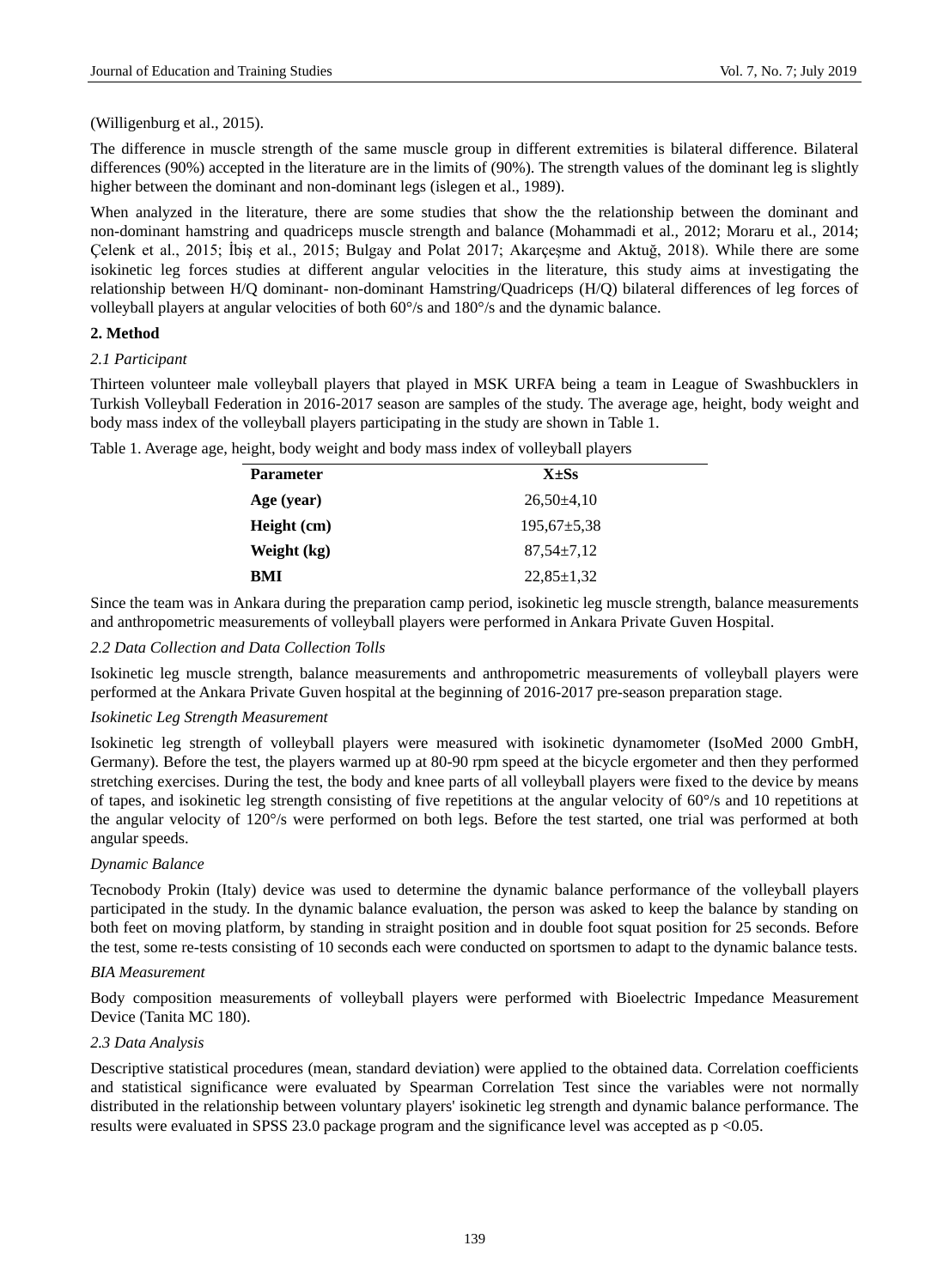(Willigenburg et al., 2015).

The difference in muscle strength of the same muscle group in different extremities is bilateral difference. Bilateral differences (90%) accepted in the literature are in the limits of (90%). The strength values of the dominant leg is slightly higher between the dominant and non-dominant legs (islegen et al., 1989).

When analyzed in the literature, there are some studies that show the the relationship between the dominant and non-dominant hamstring and quadriceps muscle strength and balance (Mohammadi et al., 2012; Moraru et al., 2014; Çelenk et al., 2015; İbiş et al., 2015; Bulgay and Polat 2017; Akarçeşme and Aktuğ, 2018). While there are some isokinetic leg forces studies at different angular velocities in the literature, this study aims at investigating the relationship between H/Q dominant- non-dominant Hamstring/Quadriceps (H/Q) bilateral differences of leg forces of volleyball players at angular velocities of both 60°/s and 180°/s and the dynamic balance.

## **2. Method**

#### *2.1 Participant*

Thirteen volunteer male volleyball players that played in MSK URFA being a team in League of Swashbucklers in Turkish Volleyball Federation in 2016-2017 season are samples of the study. The average age, height, body weight and body mass index of the volleyball players participating in the study are shown in Table 1.

| <b>Parameter</b> | $X \pm Ss$       |  |
|------------------|------------------|--|
| Age (year)       | $26,50\pm4,10$   |  |
| Height (cm)      | $195,67 + 5,38$  |  |
| Weight (kg)      | $87.54 \pm 7.12$ |  |
| BMI              | $22,85 \pm 1,32$ |  |
|                  |                  |  |

Table 1. Average age, height, body weight and body mass index of volleyball players

Since the team was in Ankara during the preparation camp period, isokinetic leg muscle strength, balance measurements and anthropometric measurements of volleyball players were performed in Ankara Private Guven Hospital.

# *2.2 Data Collection and Data Collection Tolls*

Isokinetic leg muscle strength, balance measurements and anthropometric measurements of volleyball players were performed at the Ankara Private Guven hospital at the beginning of 2016-2017 pre-season preparation stage.

#### *Isokinetic Leg Strength Measurement*

Isokinetic leg strength of volleyball players were measured with isokinetic dynamometer (IsoMed 2000 GmbH, Germany). Before the test, the players warmed up at 80-90 rpm speed at the bicycle ergometer and then they performed stretching exercises. During the test, the body and knee parts of all volleyball players were fixed to the device by means of tapes, and isokinetic leg strength consisting of five repetitions at the angular velocity of  $60\%$  and 10 repetitions at the angular velocity of 120°/s were performed on both legs. Before the test started, one trial was performed at both angular speeds.

#### *Dynamic Balance*

Tecnobody Prokin (Italy) device was used to determine the dynamic balance performance of the volleyball players participated in the study. In the dynamic balance evaluation, the person was asked to keep the balance by standing on both feet on moving platform, by standing in straight position and in double foot squat position for 25 seconds. Before the test, some re-tests consisting of 10 seconds each were conducted on sportsmen to adapt to the dynamic balance tests.

#### *BIA Measurement*

Body composition measurements of volleyball players were performed with Bioelectric Impedance Measurement Device (Tanita MC 180).

## *2.3 Data Analysis*

Descriptive statistical procedures (mean, standard deviation) were applied to the obtained data. Correlation coefficients and statistical significance were evaluated by Spearman Correlation Test since the variables were not normally distributed in the relationship between voluntary players' isokinetic leg strength and dynamic balance performance. The results were evaluated in SPSS 23.0 package program and the significance level was accepted as p <0.05.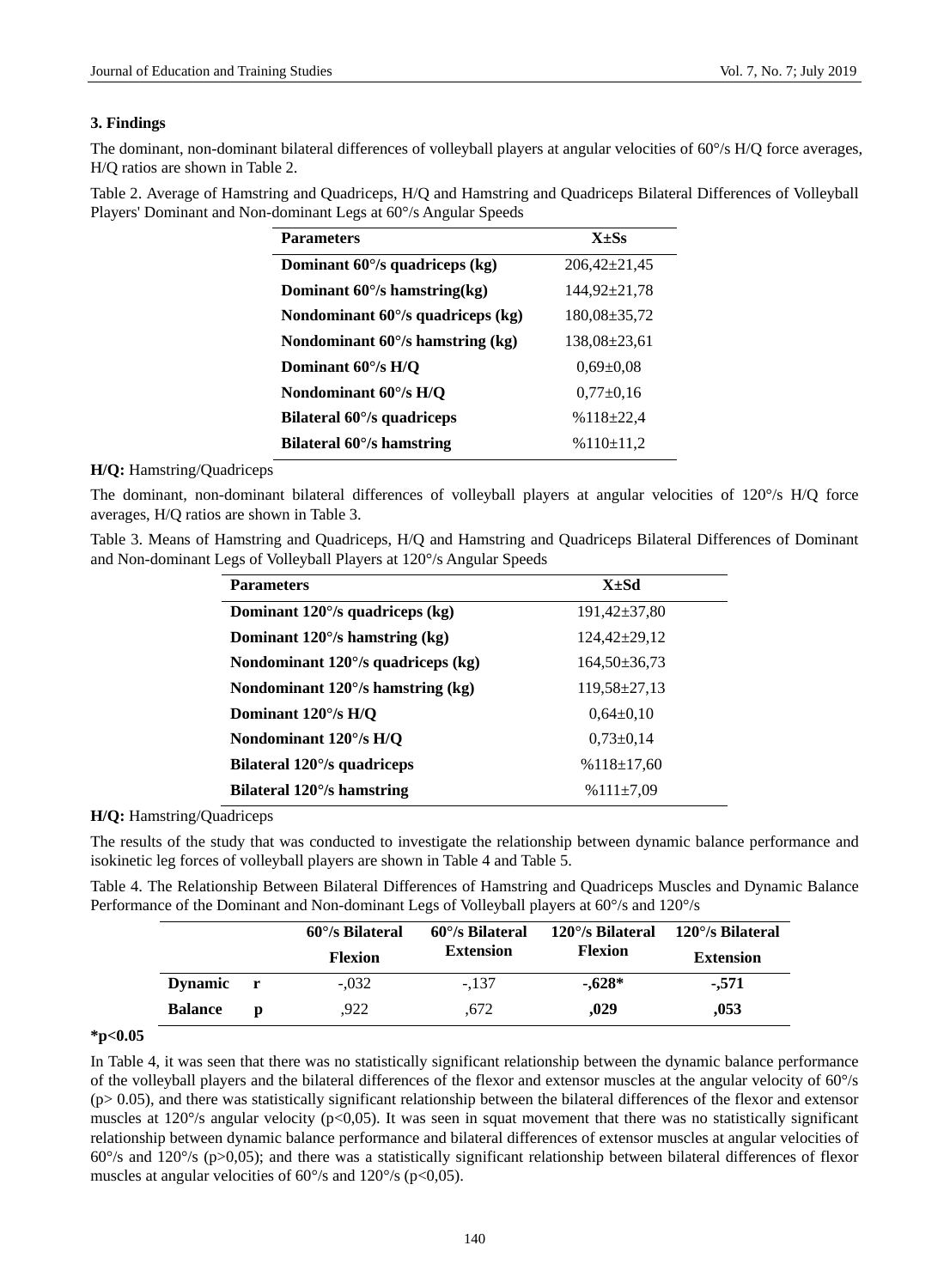# **3. Findings**

The dominant, non-dominant bilateral differences of volleyball players at angular velocities of 60 % H/Q force averages, H/Q ratios are shown in Table 2.

Table 2. Average of Hamstring and Quadriceps, H/Q and Hamstring and Quadriceps Bilateral Differences of Volleyball Players' Dominant and Non-dominant Legs at 60°/s Angular Speeds

| <b>Parameters</b>                  | $X + Ss$           |  |  |
|------------------------------------|--------------------|--|--|
| Dominant 60 % quadriceps (kg)      | $206,42 \pm 21,45$ |  |  |
| Dominant 60 $\%$ hamstring(kg)     | $144.92 \pm 21.78$ |  |  |
| Nondominant 60 % quadriceps (kg)   | $180.08 \pm 35.72$ |  |  |
| Nondominant 60 $\%$ hamstring (kg) | $138,08 \pm 23,61$ |  |  |
| Dominant $60\%$ H/O                | $0.69 \pm 0.08$    |  |  |
| Nondominant 60 % H/Q               | $0.77 - 0.16$      |  |  |
| Bilateral 60 % quadriceps          | $%118 \pm 22.4$    |  |  |
| Bilateral 60 % hamstring           | %110±11,2          |  |  |

# **H/Q:** Hamstring/Quadriceps

The dominant, non-dominant bilateral differences of volleyball players at angular velocities of 120 °/s H/Q force averages, H/Q ratios are shown in Table 3.

Table 3. Means of Hamstring and Quadriceps, H/Q and Hamstring and Quadriceps Bilateral Differences of Dominant and Non-dominant Legs of Volleyball Players at 120°/s Angular Speeds

| <b>Parameters</b>                    | X±Sd               |
|--------------------------------------|--------------------|
| Dominant $120\%$ quadriceps (kg)     | 191,42±37,80       |
| Dominant $120\%$ hamstring (kg)      | $124,42 + 29,12$   |
| Nondominant 120 $\%$ quadriceps (kg) | $164,50\pm36,73$   |
| Nondominant $120\%$ hamstring (kg)   | $119,58 \pm 27,13$ |
| Dominant $120\%$ H/O                 | $0.64 - 0.10$      |
| Nondominant $120\%$ H/Q              | $0.73 \pm 0.14$    |
| Bilateral 120 % quadriceps           | $%118 \pm 17,60$   |
| Bilateral $120\%$ hamstring          | $%111 \pm 7.09$    |

**H/Q:** Hamstring/Quadriceps

The results of the study that was conducted to investigate the relationship between dynamic balance performance and isokinetic leg forces of volleyball players are shown in Table 4 and Table 5.

Table 4. The Relationship Between Bilateral Differences of Hamstring and Quadriceps Muscles and Dynamic Balance Performance of the Dominant and Non-dominant Legs of Volleyball players at 60  $\%$  and 120  $\%$ 

|                |   | $60\%$ Bilateral | $60\%$ Bilateral | 120 $\%$ Bilateral | 120 % Bilateral  |
|----------------|---|------------------|------------------|--------------------|------------------|
|                |   | <b>Flexion</b>   | <b>Extension</b> | <b>Flexion</b>     | <b>Extension</b> |
| <b>Dynamic</b> |   | $-.032$          | $-.137$          | $-.628*$           | $-571$           |
| <b>Balance</b> | D | .922             | .672             | ,029               | ,053             |

## **\*p<0.05**

In Table 4, it was seen that there was no statistically significant relationship between the dynamic balance performance of the volleyball players and the bilateral differences of the flexor and extensor muscles at the angular velocity of 60°/s (p> 0.05), and there was statistically significant relationship between the bilateral differences of the flexor and extensor muscles at 120  $\%$  angular velocity (p<0,05). It was seen in squat movement that there was no statistically significant relationship between dynamic balance performance and bilateral differences of extensor muscles at angular velocities of 60°/s and 120°/s (p>0,05); and there was a statistically significant relationship between bilateral differences of flexor muscles at angular velocities of 60  $\%$  and 120  $\%$  (p<0,05).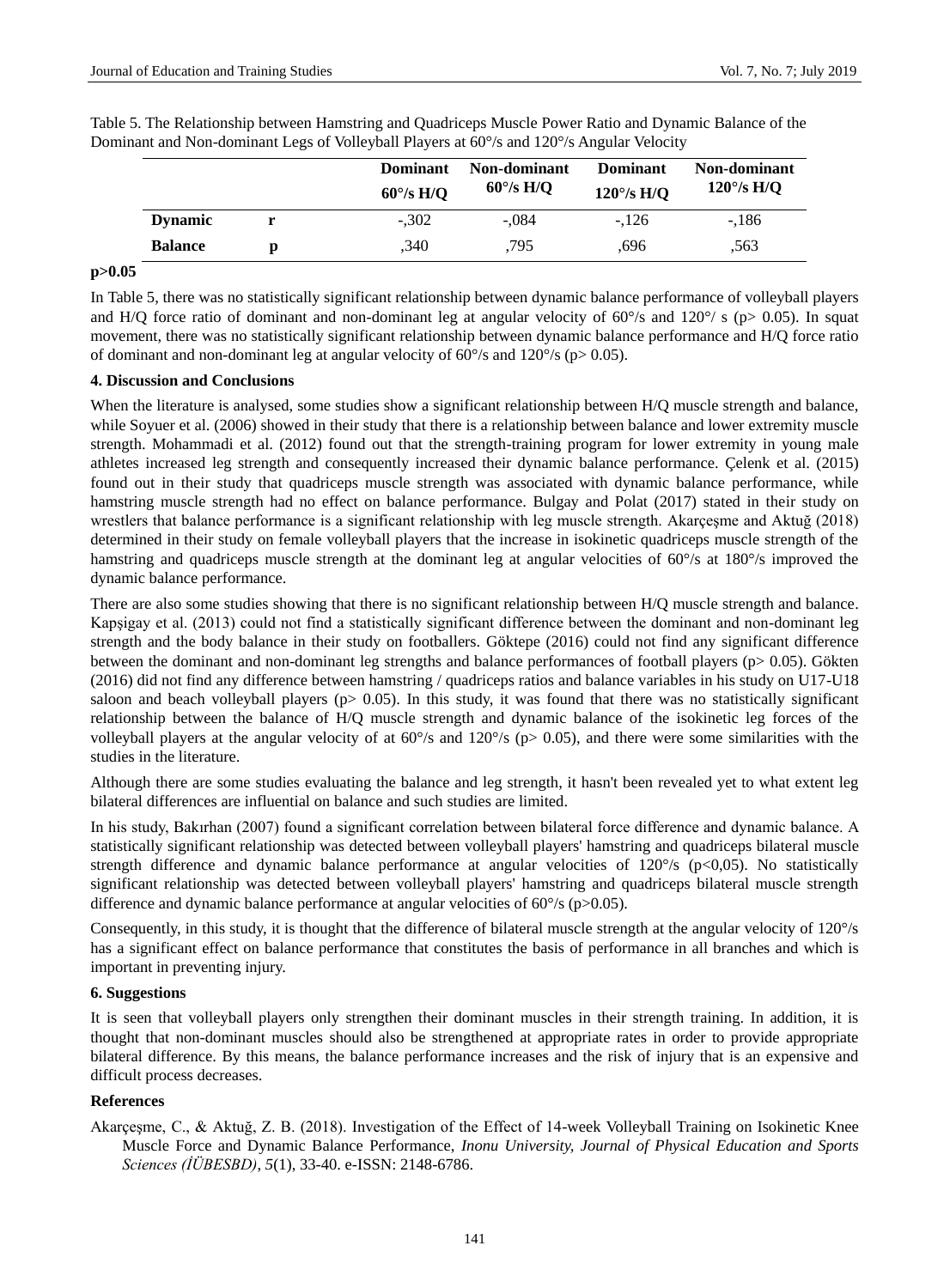|                |   | Dominant<br>60 % H/Q | Non-dominant<br>$60\%$ H/O | <b>Dominant</b><br>120 % H/Q | Non-dominant<br>120 $\%$ H/Q |
|----------------|---|----------------------|----------------------------|------------------------------|------------------------------|
| <b>Dynamic</b> |   | $-.302$              | $-.084$                    | $-126$                       | $-186$                       |
| <b>Balance</b> | Ŋ | .340                 | .795                       | .696                         | .563                         |

Table 5. The Relationship between Hamstring and Quadriceps Muscle Power Ratio and Dynamic Balance of the Dominant and Non-dominant Legs of Volleyball Players at 60 % and 120 % Angular Velocity

#### **p>0.05**

In Table 5, there was no statistically significant relationship between dynamic balance performance of volleyball players and H/Q force ratio of dominant and non-dominant leg at angular velocity of 60  $\%$  and 120  $\%$  s (p> 0.05). In squat movement, there was no statistically significant relationship between dynamic balance performance and H/Q force ratio of dominant and non-dominant leg at angular velocity of 60  $\%$  and 120  $\%$  (p> 0.05).

#### **4. Discussion and Conclusions**

When the literature is analysed, some studies show a significant relationship between H/Q muscle strength and balance, while Soyuer et al. (2006) showed in their study that there is a relationship between balance and lower extremity muscle strength. Mohammadi et al. (2012) found out that the strength-training program for lower extremity in young male athletes increased leg strength and consequently increased their dynamic balance performance. Çelenk et al. (2015) found out in their study that quadriceps muscle strength was associated with dynamic balance performance, while hamstring muscle strength had no effect on balance performance. Bulgay and Polat (2017) stated in their study on wrestlers that balance performance is a significant relationship with leg muscle strength. Akarcesme and Aktuğ (2018) determined in their study on female volleyball players that the increase in isokinetic quadriceps muscle strength of the hamstring and quadriceps muscle strength at the dominant leg at angular velocities of 60 °/s at 180 °/s improved the dynamic balance performance.

There are also some studies showing that there is no significant relationship between H/Q muscle strength and balance. Kapşigay et al. (2013) could not find a statistically significant difference between the dominant and non-dominant leg strength and the body balance in their study on footballers. Göktepe (2016) could not find any significant difference between the dominant and non-dominant leg strengths and balance performances of football players ( $p$  $> 0.05$ ). Gökten (2016) did not find any difference between hamstring / quadriceps ratios and balance variables in his study on U17-U18 saloon and beach volleyball players ( $p$  > 0.05). In this study, it was found that there was no statistically significant relationship between the balance of H/Q muscle strength and dynamic balance of the isokinetic leg forces of the volleyball players at the angular velocity of at 60  $\%$  and 120  $\%$  (p> 0.05), and there were some similarities with the studies in the literature.

Although there are some studies evaluating the balance and leg strength, it hasn't been revealed yet to what extent leg bilateral differences are influential on balance and such studies are limited.

In his study, Bakırhan (2007) found a significant correlation between bilateral force difference and dynamic balance. A statistically significant relationship was detected between volleyball players' hamstring and quadriceps bilateral muscle strength difference and dynamic balance performance at angular velocities of  $120\%$  (p<0,05). No statistically significant relationship was detected between volleyball players' hamstring and quadriceps bilateral muscle strength difference and dynamic balance performance at angular velocities of 60  $\%$  (p>0.05).

Consequently, in this study, it is thought that the difference of bilateral muscle strength at the angular velocity of 120°/s has a significant effect on balance performance that constitutes the basis of performance in all branches and which is important in preventing injury.

# **6. Suggestions**

It is seen that volleyball players only strengthen their dominant muscles in their strength training. In addition, it is thought that non-dominant muscles should also be strengthened at appropriate rates in order to provide appropriate bilateral difference. By this means, the balance performance increases and the risk of injury that is an expensive and difficult process decreases.

## **References**

Akarçeşme, C., & Aktuğ, Z. B. (2018). Investigation of the Effect of 14-week Volleyball Training on Isokinetic Knee Muscle Force and Dynamic Balance Performance, *Inonu University, Journal of Physical Education and Sports Sciences (İÜBESBD)*, *5*(1), 33-40. e-ISSN: 2148-6786.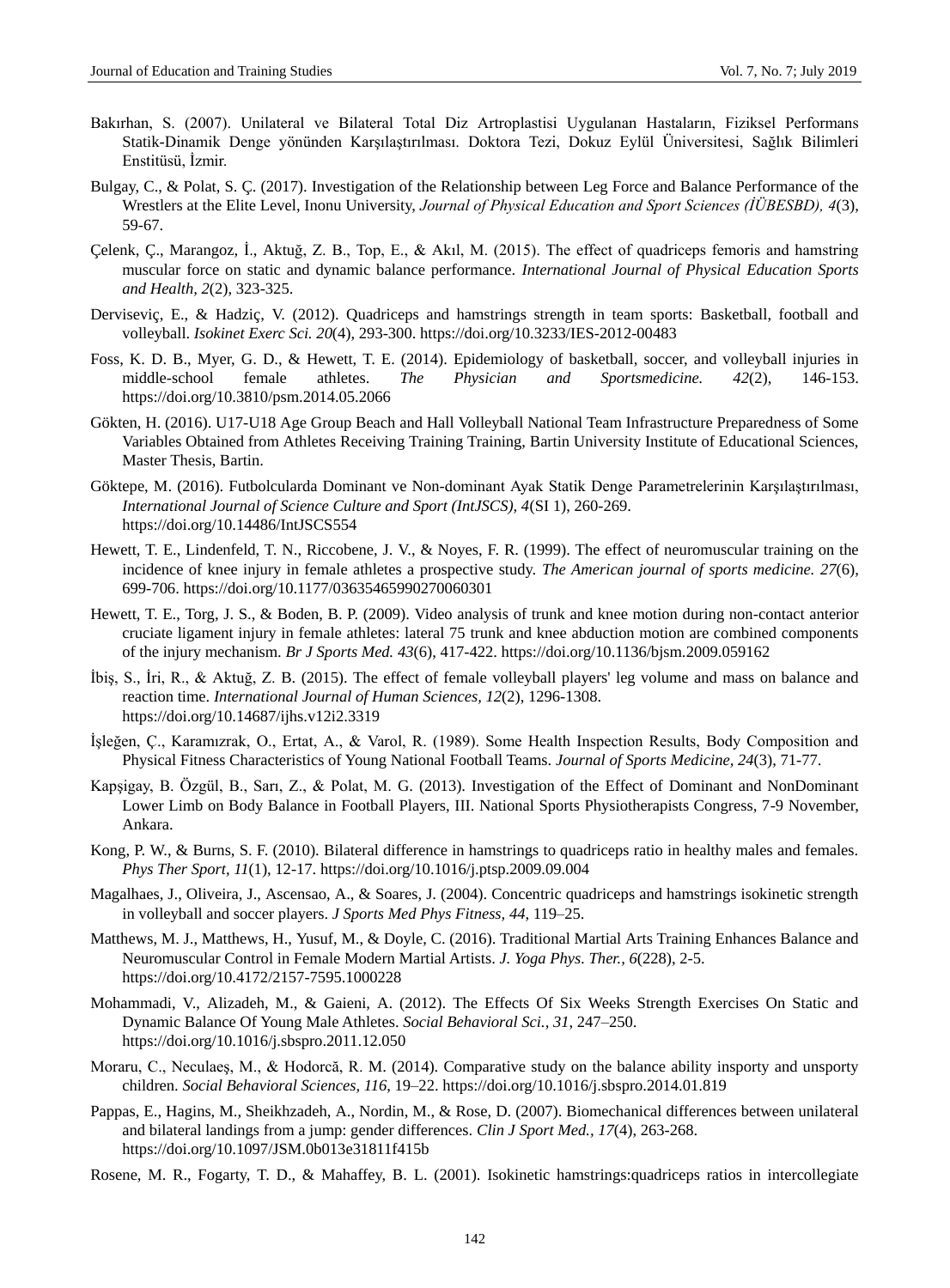- Bakırhan, S. (2007). Unilateral ve Bilateral Total Diz Artroplastisi Uygulanan Hastaların, Fiziksel Performans Statik-Dinamik Denge yönünden Karşılaştırılması. Doktora Tezi, Dokuz Eylül Üniversitesi, Sağlık Bilimleri Enstitüsü, İzmir.
- Bulgay, C., & Polat, S. Ç. (2017). Investigation of the Relationship between Leg Force and Balance Performance of the Wrestlers at the Elite Level, Inonu University, *Journal of Physical Education and Sport Sciences (İÜBESBD), 4*(3), 59-67.
- Çelenk, Ç., Marangoz, İ., Aktuğ, Z. B., Top, E., & Akıl, M. (2015). The effect of quadriceps femoris and hamstring muscular force on static and dynamic balance performance. *International Journal of Physical Education Sports and Health, 2*(2), 323-325.
- Derviseviç, E., & Hadziç, V. (2012). Quadriceps and hamstrings strength in team sports: Basketball, football and volleyball. *Isokinet Exerc Sci. 20*(4), 293-300. <https://doi.org/10.3233/IES-2012-00483>
- Foss, K. D. B., Myer, G. D., & Hewett, T. E. (2014). Epidemiology of basketball, soccer, and volleyball injuries in middle-school female athletes. *The Physician and Sportsmedicine. 42*(2), 146-153. <https://doi.org/10.3810/psm.2014.05.2066>
- Gökten, H. (2016). U17-U18 Age Group Beach and Hall Volleyball National Team Infrastructure Preparedness of Some Variables Obtained from Athletes Receiving Training Training, Bartin University Institute of Educational Sciences, Master Thesis, Bartin.
- Göktepe, M. (2016). Futbolcularda Dominant ve Non-dominant Ayak Statik Denge Parametrelerinin Karşılaştırılması, *International Journal of Science Culture and Sport (IntJSCS), 4*(SI 1), 260-269. <https://doi.org/10.14486/IntJSCS554>
- Hewett, T. E., Lindenfeld, T. N., Riccobene, J. V., & Noyes, F. R. (1999). The effect of neuromuscular training on the incidence of knee injury in female athletes a prospective study. *The American journal of sports medicine. 27*(6), 699-706. <https://doi.org/10.1177/03635465990270060301>
- Hewett, T. E., Torg, J. S., & Boden, B. P. (2009). Video analysis of trunk and knee motion during non-contact anterior cruciate ligament injury in female athletes: lateral 75 trunk and knee abduction motion are combined components of the injury mechanism. *Br J Sports Med. 43*(6), 417-422. <https://doi.org/10.1136/bjsm.2009.059162>
- İbiş, S., İri, R., & Aktuğ, Z. B. (2015). The effect of female volleyball players' leg volume and mass on balance and reaction time. *International Journal of Human Sciences, 12*(2), 1296-1308. <https://doi.org/10.14687/ijhs.v12i2.3319>
- İşleğen, Ç., Karamızrak, O., Ertat, A., & Varol, R. (1989). Some Health Inspection Results, Body Composition and Physical Fitness Characteristics of Young National Football Teams. *Journal of Sports Medicine, 24*(3), 71-77.
- Kapşigay, B. Özgül, B., Sarı, Z., & Polat, M. G. (2013). Investigation of the Effect of Dominant and NonDominant Lower Limb on Body Balance in Football Players, III. National Sports Physiotherapists Congress, 7-9 November, Ankara.
- Kong, P. W., & Burns, S. F. (2010). Bilateral difference in hamstrings to quadriceps ratio in healthy males and females. *Phys Ther Sport, 11*(1), 12-17. <https://doi.org/10.1016/j.ptsp.2009.09.004>
- Magalhaes, J., Oliveira, J., Ascensao, A., & Soares, J. (2004). Concentric quadriceps and hamstrings isokinetic strength in volleyball and soccer players. *J Sports Med Phys Fitness, 44*, 119–25.
- Matthews, M. J., Matthews, H., Yusuf, M., & Doyle, C. (2016). Traditional Martial Arts Training Enhances Balance and Neuromuscular Control in Female Modern Martial Artists. *J. Yoga Phys. Ther., 6*(228), 2-5. <https://doi.org/10.4172/2157-7595.1000228>
- Mohammadi, V., Alizadeh, M., & Gaieni, A. (2012). The Effects Of Six Weeks Strength Exercises On Static and Dynamic Balance Of Young Male Athletes. *Social Behavioral Sci., 31*, 247–250. <https://doi.org/10.1016/j.sbspro.2011.12.050>
- Moraru, C., Neculaeş, M., & Hodorcă, R. M. (2014). Comparative study on the balance ability insporty and unsporty children. *Social Behavioral Sciences, 116*, 19–22. <https://doi.org/10.1016/j.sbspro.2014.01.819>
- Pappas, E., Hagins, M., Sheikhzadeh, A., Nordin, M., & Rose, D. (2007). Biomechanical differences between unilateral and bilateral landings from a jump: gender differences. *Clin J Sport Med., 17*(4), 263-268. <https://doi.org/10.1097/JSM.0b013e31811f415b>
- Rosene, M. R., Fogarty, T. D., & Mahaffey, B. L. (2001). Isokinetic hamstrings:quadriceps ratios in intercollegiate